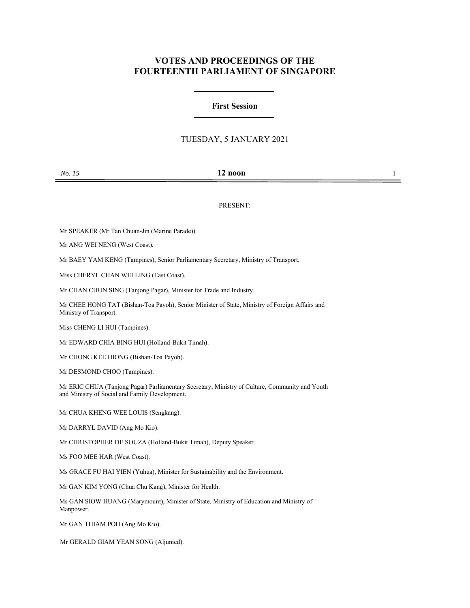# **VOTES AND PROCEEDINGS OF THE FOURTEENTH PARLIAMENT OF SINGAPORE**

## **First Session**

### TUESDAY, 5 JANUARY 2021

### *No. 15* **12 noon** 1

#### PRESENT:

Mr SPEAKER (Mr Tan Chuan-Jin (Marine Parade)).

Mr ANG WEI NENG (West Coast).

Mr BAEY YAM KENG (Tampines), Senior Parliamentary Secretary, Ministry of Transport.

Miss CHERYL CHAN WEI LING (East Coast).

Mr CHAN CHUN SING (Tanjong Pagar), Minister for Trade and Industry.

Mr CHEE HONG TAT (Bishan-Toa Payoh), Senior Minister of State, Ministry of Foreign Affairs and Ministry of Transport.

Miss CHENG LI HUI (Tampines).

Mr EDWARD CHIA BING HUI (Holland-Bukit Timah).

Mr CHONG KEE HIONG (Bishan-Toa Payoh).

Mr DESMOND CHOO (Tampines).

Mr ERIC CHUA (Tanjong Pagar) Parliamentary Secretary, Ministry of Culture, Community and Youth and Ministry of Social and Family Development.

Mr CHUA KHENG WEE LOUIS (Sengkang).

Mr DARRYL DAVID (Ang Mo Kio).

Mr CHRISTOPHER DE SOUZA (Holland-Bukit Timah), Deputy Speaker.

Ms FOO MEE HAR (West Coast).

Ms GRACE FU HAI YIEN (Yuhua), Minister for Sustainability and the Environment.

Mr GAN KIM YONG (Chua Chu Kang), Minister for Health.

Ms GAN SIOW HUANG (Marymount), Minister of State, Ministry of Education and Ministry of Manpower.

Mr GAN THIAM POH (Ang Mo Kio).

Mr GERALD GIAM YEAN SONG (Aljunied).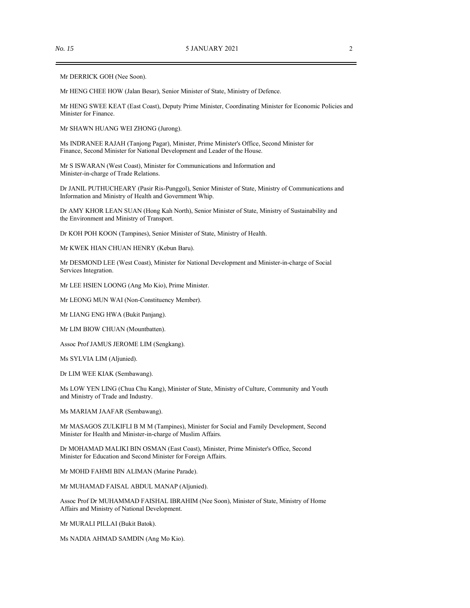Mr DERRICK GOH (Nee Soon).

Mr HENG CHEE HOW (Jalan Besar), Senior Minister of State, Ministry of Defence.

Mr HENG SWEE KEAT (East Coast), Deputy Prime Minister, Coordinating Minister for Economic Policies and Minister for Finance.

Mr SHAWN HUANG WEI ZHONG (Jurong).

Ms INDRANEE RAJAH (Tanjong Pagar), Minister, Prime Minister's Office, Second Minister for Finance, Second Minister for National Development and Leader of the House.

Mr S ISWARAN (West Coast), Minister for Communications and Information and Minister-in-charge of Trade Relations.

Dr JANIL PUTHUCHEARY (Pasir Ris-Punggol), Senior Minister of State, Ministry of Communications and Information and Ministry of Health and Government Whip.

Dr AMY KHOR LEAN SUAN (Hong Kah North), Senior Minister of State, Ministry of Sustainability and the Environment and Ministry of Transport.

Dr KOH POH KOON (Tampines), Senior Minister of State, Ministry of Health.

Mr KWEK HIAN CHUAN HENRY (Kebun Baru).

Mr DESMOND LEE (West Coast), Minister for National Development and Minister-in-charge of Social Services Integration.

Mr LEE HSIEN LOONG (Ang Mo Kio), Prime Minister.

Mr LEONG MUN WAI (Non-Constituency Member).

Mr LIANG ENG HWA (Bukit Panjang).

Mr LIM BIOW CHUAN (Mountbatten).

Assoc Prof JAMUS JEROME LIM (Sengkang).

Ms SYLVIA LIM (Aljunied).

Dr LIM WEE KIAK (Sembawang).

Ms LOW YEN LING (Chua Chu Kang), Minister of State, Ministry of Culture, Community and Youth and Ministry of Trade and Industry.

Ms MARIAM JAAFAR (Sembawang).

Mr MASAGOS ZULKIFLI B M M (Tampines), Minister for Social and Family Development, Second Minister for Health and Minister-in-charge of Muslim Affairs.

Dr MOHAMAD MALIKI BIN OSMAN (East Coast), Minister, Prime Minister's Office, Second Minister for Education and Second Minister for Foreign Affairs.

Mr MOHD FAHMI BIN ALIMAN (Marine Parade).

Mr MUHAMAD FAISAL ABDUL MANAP (Aljunied).

Assoc Prof Dr MUHAMMAD FAISHAL IBRAHIM (Nee Soon), Minister of State, Ministry of Home Affairs and Ministry of National Development.

Mr MURALI PILLAI (Bukit Batok).

Ms NADIA AHMAD SAMDIN (Ang Mo Kio).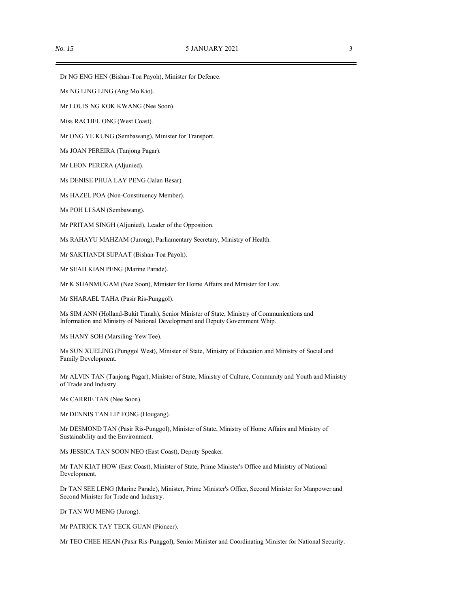Dr NG ENG HEN (Bishan-Toa Payoh), Minister for Defence.

Ms NG LING LING (Ang Mo Kio).

Mr LOUIS NG KOK KWANG (Nee Soon).

Miss RACHEL ONG (West Coast).

Mr ONG YE KUNG (Sembawang), Minister for Transport.

Ms JOAN PEREIRA (Tanjong Pagar).

Mr LEON PERERA (Aljunied).

Ms DENISE PHUA LAY PENG (Jalan Besar).

Ms HAZEL POA (Non-Constituency Member).

Ms POH LI SAN (Sembawang).

Mr PRITAM SINGH (Aljunied), Leader of the Opposition.

Ms RAHAYU MAHZAM (Jurong), Parliamentary Secretary, Ministry of Health.

Mr SAKTIANDI SUPAAT (Bishan-Toa Payoh).

Mr SEAH KIAN PENG (Marine Parade).

Mr K SHANMUGAM (Nee Soon), Minister for Home Affairs and Minister for Law.

Mr SHARAEL TAHA (Pasir Ris-Punggol).

Ms SIM ANN (Holland-Bukit Timah), Senior Minister of State, Ministry of Communications and Information and Ministry of National Development and Deputy Government Whip.

Ms HANY SOH (Marsiling-Yew Tee).

Ms SUN XUELING (Punggol West), Minister of State, Ministry of Education and Ministry of Social and Family Development.

Mr ALVIN TAN (Tanjong Pagar), Minister of State, Ministry of Culture, Community and Youth and Ministry of Trade and Industry.

Ms CARRIE TAN (Nee Soon).

Mr DENNIS TAN LIP FONG (Hougang).

Mr DESMOND TAN (Pasir Ris-Punggol), Minister of State, Ministry of Home Affairs and Ministry of Sustainability and the Environment.

Ms JESSICA TAN SOON NEO (East Coast), Deputy Speaker.

Mr TAN KIAT HOW (East Coast), Minister of State, Prime Minister's Office and Ministry of National Development.

Dr TAN SEE LENG (Marine Parade), Minister, Prime Minister's Office, Second Minister for Manpower and Second Minister for Trade and Industry.

Dr TAN WU MENG (Jurong).

Mr PATRICK TAY TECK GUAN (Pioneer).

Mr TEO CHEE HEAN (Pasir Ris-Punggol), Senior Minister and Coordinating Minister for National Security.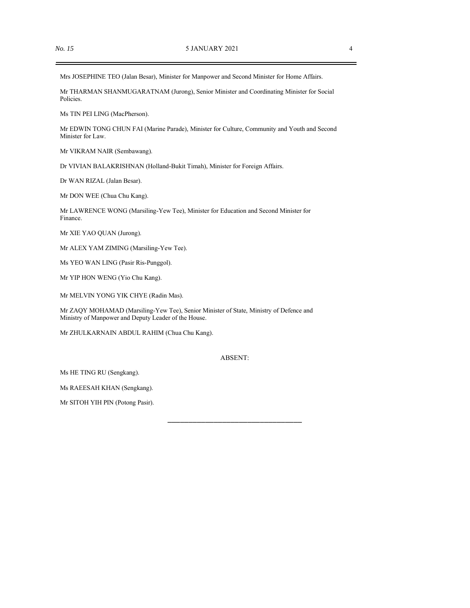Mrs JOSEPHINE TEO (Jalan Besar), Minister for Manpower and Second Minister for Home Affairs.

Mr THARMAN SHANMUGARATNAM (Jurong), Senior Minister and Coordinating Minister for Social Policies.

Ms TIN PEI LING (MacPherson).

Mr EDWIN TONG CHUN FAI (Marine Parade), Minister for Culture, Community and Youth and Second Minister for Law.

Mr VIKRAM NAIR (Sembawang).

Dr VIVIAN BALAKRISHNAN (Holland-Bukit Timah), Minister for Foreign Affairs.

Dr WAN RIZAL (Jalan Besar).

Mr DON WEE (Chua Chu Kang).

Mr LAWRENCE WONG (Marsiling-Yew Tee), Minister for Education and Second Minister for Finance.

Mr XIE YAO QUAN (Jurong).

Mr ALEX YAM ZIMING (Marsiling-Yew Tee).

Ms YEO WAN LING (Pasir Ris-Punggol).

Mr YIP HON WENG (Yio Chu Kang).

Mr MELVIN YONG YIK CHYE (Radin Mas).

Mr ZAQY MOHAMAD (Marsiling-Yew Tee), Senior Minister of State, Ministry of Defence and Ministry of Manpower and Deputy Leader of the House.

Mr ZHULKARNAIN ABDUL RAHIM (Chua Chu Kang).

#### ABSENT:

\_\_\_\_\_\_\_\_\_\_\_\_\_\_\_\_\_\_\_\_\_\_\_\_\_\_\_\_\_\_\_\_

Ms HE TING RU (Sengkang).

Ms RAEESAH KHAN (Sengkang).

Mr SITOH YIH PIN (Potong Pasir).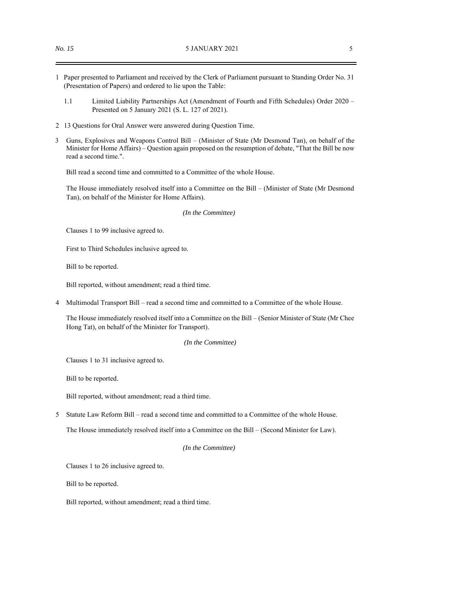- 1 Paper presented to Parliament and received by the Clerk of Parliament pursuant to Standing Order No. 31 (Presentation of Papers) and ordered to lie upon the Table:
	- 1.1 Limited Liability Partnerships Act (Amendment of Fourth and Fifth Schedules) Order 2020 Presented on 5 January 2021 (S. L. 127 of 2021).
- 2 13 Questions for Oral Answer were answered during Question Time.
- 3 Guns, Explosives and Weapons Control Bill (Minister of State (Mr Desmond Tan), on behalf of the Minister for Home Affairs) – Question again proposed on the resumption of debate, "That the Bill be now read a second time.".

Bill read a second time and committed to a Committee of the whole House.

The House immediately resolved itself into a Committee on the Bill – (Minister of State (Mr Desmond Tan), on behalf of the Minister for Home Affairs).

*(In the Committee)*

Clauses 1 to 99 inclusive agreed to.

First to Third Schedules inclusive agreed to.

Bill to be reported.

Bill reported, without amendment; read a third time.

4 Multimodal Transport Bill – read a second time and committed to a Committee of the whole House.

The House immediately resolved itself into a Committee on the Bill – (Senior Minister of State (Mr Chee Hong Tat), on behalf of the Minister for Transport).

*(In the Committee)*

Clauses 1 to 31 inclusive agreed to.

Bill to be reported.

Bill reported, without amendment; read a third time.

5 Statute Law Reform Bill – read a second time and committed to a Committee of the whole House.

The House immediately resolved itself into a Committee on the Bill – (Second Minister for Law).

*(In the Committee)*

Clauses 1 to 26 inclusive agreed to.

Bill to be reported.

Bill reported, without amendment; read a third time.